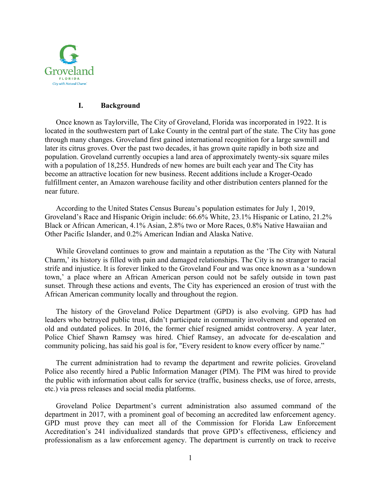

#### **I. Background**

Once known as Taylorville, The City of Groveland, Florida was incorporated in 1922. It is located in the southwestern part of Lake County in the central part of the state. The City has gone through many changes. Groveland first gained international recognition for a large sawmill and later its citrus groves. Over the past two decades, it has grown quite rapidly in both size and population. Groveland currently occupies a land area of approximately twenty-six square miles with a population of 18,255. Hundreds of new homes are built each year and The City has become an attractive location for new business. Recent additions include a Kroger-Ocado fulfillment center, an Amazon warehouse facility and other distribution centers planned for the near future.

According to the United States Census Bureau's population estimates for July 1, 2019, Groveland's Race and Hispanic Origin include: 66.6% White, 23.1% Hispanic or Latino, 21.2% Black or African American, 4.1% Asian, 2.8% two or More Races, 0.8% Native Hawaiian and Other Pacific Islander, and 0.2% American Indian and Alaska Native.

While Groveland continues to grow and maintain a reputation as the 'The City with Natural Charm,' its history is filled with pain and damaged relationships. The City is no stranger to racial strife and injustice. It is forever linked to the Groveland Four and was once known as a 'sundown town,' a place where an African American person could not be safely outside in town past sunset. Through these actions and events, The City has experienced an erosion of trust with the African American community locally and throughout the region.

The history of the Groveland Police Department (GPD) is also evolving. GPD has had leaders who betrayed public trust, didn't participate in community involvement and operated on old and outdated polices. In 2016, the former chief resigned amidst controversy. A year later, Police Chief Shawn Ramsey was hired. Chief Ramsey, an advocate for de-escalation and community policing, has said his goal is for, "Every resident to know every officer by name."

The current administration had to revamp the department and rewrite policies. Groveland Police also recently hired a Public Information Manager (PIM). The PIM was hired to provide the public with information about calls for service (traffic, business checks, use of force, arrests, etc.) via press releases and social media platforms.

Groveland Police Department's current administration also assumed command of the department in 2017, with a prominent goal of becoming an accredited law enforcement agency. GPD must prove they can meet all of the Commission for Florida Law Enforcement Accreditation's 241 individualized standards that prove GPD's effectiveness, efficiency and professionalism as a law enforcement agency. The department is currently on track to receive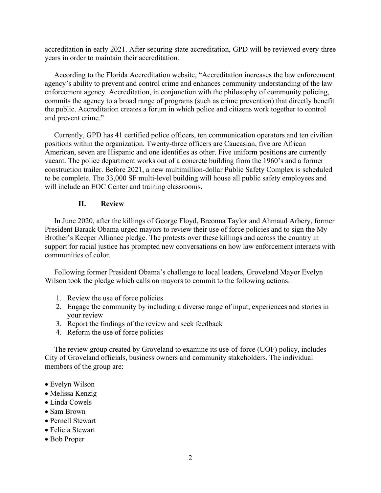accreditation in early 2021. After securing state accreditation, GPD will be reviewed every three years in order to maintain their accreditation.

 According to the Florida Accreditation website, "Accreditation increases the law enforcement agency's ability to prevent and control crime and enhances community understanding of the law enforcement agency. Accreditation, in conjunction with the philosophy of community policing, commits the agency to a broad range of programs (such as crime prevention) that directly benefit the public. Accreditation creates a forum in which police and citizens work together to control and prevent crime."

 Currently, GPD has 41 certified police officers, ten communication operators and ten civilian positions within the organization. Twenty-three officers are Caucasian, five are African American, seven are Hispanic and one identifies as other. Five uniform positions are currently vacant. The police department works out of a concrete building from the 1960's and a former construction trailer. Before 2021, a new multimillion-dollar Public Safety Complex is scheduled to be complete. The 33,000 SF multi-level building will house all public safety employees and will include an EOC Center and training classrooms.

## **II. Review**

 In June 2020, after the killings of George Floyd, Breonna Taylor and Ahmaud Arbery, former President Barack Obama urged mayors to review their use of force policies and to sign the My Brother's Keeper Alliance pledge. The protests over these killings and across the country in support for racial justice has prompted new conversations on how law enforcement interacts with communities of color.

 Following former President Obama's challenge to local leaders, Groveland Mayor Evelyn Wilson took the pledge which calls on mayors to commit to the following actions:

- 1. Review the use of force policies
- 2. Engage the community by including a diverse range of input, experiences and stories in your review
- 3. Report the findings of the review and seek feedback
- 4. Reform the use of force policies

 The review group created by Groveland to examine its use-of-force (UOF) policy, includes City of Groveland officials, business owners and community stakeholders. The individual members of the group are:

- Evelyn Wilson
- Melissa Kenzig
- Linda Cowels
- Sam Brown
- Pernell Stewart
- Felicia Stewart
- Bob Proper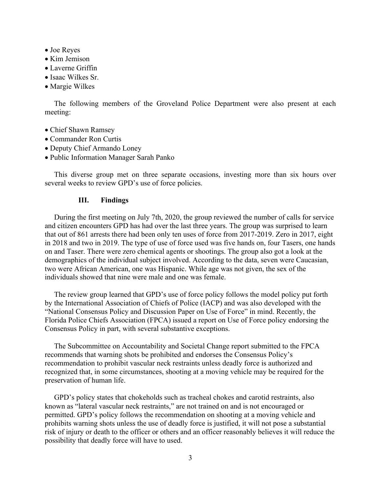- Joe Reyes
- Kim Jemison
- Laverne Griffin
- Isaac Wilkes Sr.
- Margie Wilkes

 The following members of the Groveland Police Department were also present at each meeting:

- Chief Shawn Ramsey
- Commander Ron Curtis
- Deputy Chief Armando Loney
- Public Information Manager Sarah Panko

 This diverse group met on three separate occasions, investing more than six hours over several weeks to review GPD's use of force policies.

### **III. Findings**

 During the first meeting on July 7th, 2020, the group reviewed the number of calls for service and citizen encounters GPD has had over the last three years. The group was surprised to learn that out of 861 arrests there had been only ten uses of force from 2017-2019. Zero in 2017, eight in 2018 and two in 2019. The type of use of force used was five hands on, four Tasers, one hands on and Taser. There were zero chemical agents or shootings. The group also got a look at the demographics of the individual subject involved. According to the data, seven were Caucasian, two were African American, one was Hispanic. While age was not given, the sex of the individuals showed that nine were male and one was female.

 The review group learned that GPD's use of force policy follows the model policy put forth by the International Association of Chiefs of Police (IACP) and was also developed with the "National Consensus Policy and Discussion Paper on Use of Force" in mind. Recently, the Florida Police Chiefs Association (FPCA) issued a report on Use of Force policy endorsing the Consensus Policy in part, with several substantive exceptions.

 The Subcommittee on Accountability and Societal Change report submitted to the FPCA recommends that warning shots be prohibited and endorses the Consensus Policy's recommendation to prohibit vascular neck restraints unless deadly force is authorized and recognized that, in some circumstances, shooting at a moving vehicle may be required for the preservation of human life.

 GPD's policy states that chokeholds such as tracheal chokes and carotid restraints, also known as "lateral vascular neck restraints," are not trained on and is not encouraged or permitted. GPD's policy follows the recommendation on shooting at a moving vehicle and prohibits warning shots unless the use of deadly force is justified, it will not pose a substantial risk of injury or death to the officer or others and an officer reasonably believes it will reduce the possibility that deadly force will have to used.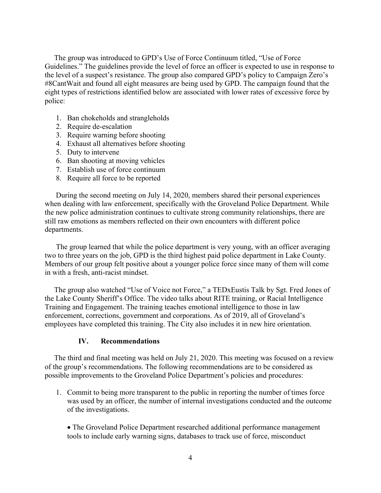The group was introduced to GPD's Use of Force Continuum titled, "Use of Force Guidelines." The guidelines provide the level of force an officer is expected to use in response to the level of a suspect's resistance. The group also compared GPD's policy to Campaign Zero's #8CantWait and found all eight measures are being used by GPD. The campaign found that the eight types of restrictions identified below are associated with lower rates of excessive force by police:

- 1. Ban chokeholds and strangleholds
- 2. Require de-escalation
- 3. Require warning before shooting
- 4. Exhaust all alternatives before shooting
- 5. Duty to intervene
- 6. Ban shooting at moving vehicles
- 7. Establish use of force continuum
- 8. Require all force to be reported

During the second meeting on July 14, 2020, members shared their personal experiences when dealing with law enforcement, specifically with the Groveland Police Department. While the new police administration continues to cultivate strong community relationships, there are still raw emotions as members reflected on their own encounters with different police departments.

The group learned that while the police department is very young, with an officer averaging two to three years on the job, GPD is the third highest paid police department in Lake County. Members of our group felt positive about a younger police force since many of them will come in with a fresh, anti-racist mindset.

 The group also watched "Use of Voice not Force," a TEDxEustis Talk by Sgt. Fred Jones of the Lake County Sheriff's Office. The video talks about RITE training, or Racial Intelligence Training and Engagement. The training teaches emotional intelligence to those in law enforcement, corrections, government and corporations. As of 2019, all of Groveland's employees have completed this training. The City also includes it in new hire orientation.

### **IV. Recommendations**

 The third and final meeting was held on July 21, 2020. This meeting was focused on a review of the group's recommendations. The following recommendations are to be considered as possible improvements to the Groveland Police Department's policies and procedures:

1. Commit to being more transparent to the public in reporting the number of times force was used by an officer, the number of internal investigations conducted and the outcome of the investigations.

• The Groveland Police Department researched additional performance management tools to include early warning signs, databases to track use of force, misconduct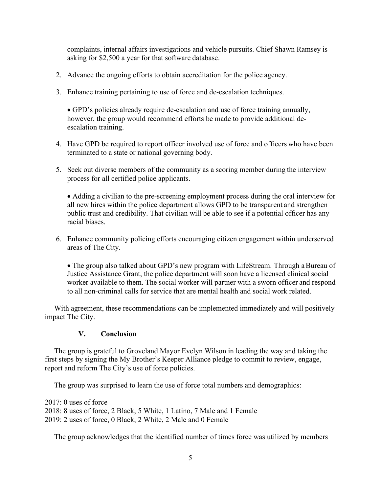complaints, internal affairs investigations and vehicle pursuits. Chief Shawn Ramsey is asking for \$2,500 a year for that software database.

- 2. Advance the ongoing efforts to obtain accreditation for the police agency.
- 3. Enhance training pertaining to use of force and de-escalation techniques.

• GPD's policies already require de-escalation and use of force training annually, however, the group would recommend efforts be made to provide additional deescalation training.

- 4. Have GPD be required to report officer involved use of force and officers who have been terminated to a state or national governing body.
- 5. Seek out diverse members of the community as a scoring member during the interview process for all certified police applicants.

• Adding a civilian to the pre-screening employment process during the oral interview for all new hires within the police department allows GPD to be transparent and strengthen public trust and credibility. That civilian will be able to see if a potential officer has any racial biases.

6. Enhance community policing efforts encouraging citizen engagement within underserved areas of The City.

• The group also talked about GPD's new program with LifeStream. Through a Bureau of Justice Assistance Grant, the police department will soon have a licensed clinical social worker available to them. The social worker will partner with a sworn officer and respond to all non-criminal calls for service that are mental health and social work related.

 With agreement, these recommendations can be implemented immediately and will positively impact The City.

# **V. Conclusion**

 The group is grateful to Groveland Mayor Evelyn Wilson in leading the way and taking the first steps by signing the My Brother's Keeper Alliance pledge to commit to review, engage, report and reform The City's use of force policies.

The group was surprised to learn the use of force total numbers and demographics:

2017: 0 uses of force 2018: 8 uses of force, 2 Black, 5 White, 1 Latino, 7 Male and 1 Female 2019: 2 uses of force, 0 Black, 2 White, 2 Male and 0 Female

The group acknowledges that the identified number of times force was utilized by members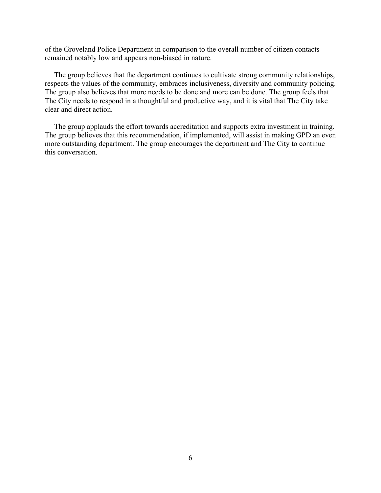of the Groveland Police Department in comparison to the overall number of citizen contacts remained notably low and appears non-biased in nature.

 The group believes that the department continues to cultivate strong community relationships, respects the values of the community, embraces inclusiveness, diversity and community policing. The group also believes that more needs to be done and more can be done. The group feels that The City needs to respond in a thoughtful and productive way, and it is vital that The City take clear and direct action.

 The group applauds the effort towards accreditation and supports extra investment in training. The group believes that this recommendation, if implemented, will assist in making GPD an even more outstanding department. The group encourages the department and The City to continue this conversation.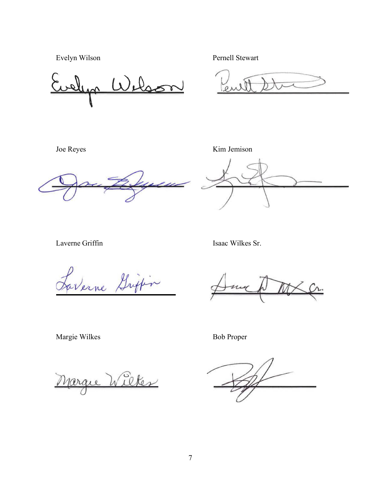Evelyn Wilson Pernell Stewart

blass  $\sum$ 

en

Joe Reyes Kim Jemison

yum

Laverne Griffin Isaac Wilkes Sr.

Laverne Griffin

 $\lambda$ 

Margie Wilkes Bob Proper

Margue Wilker